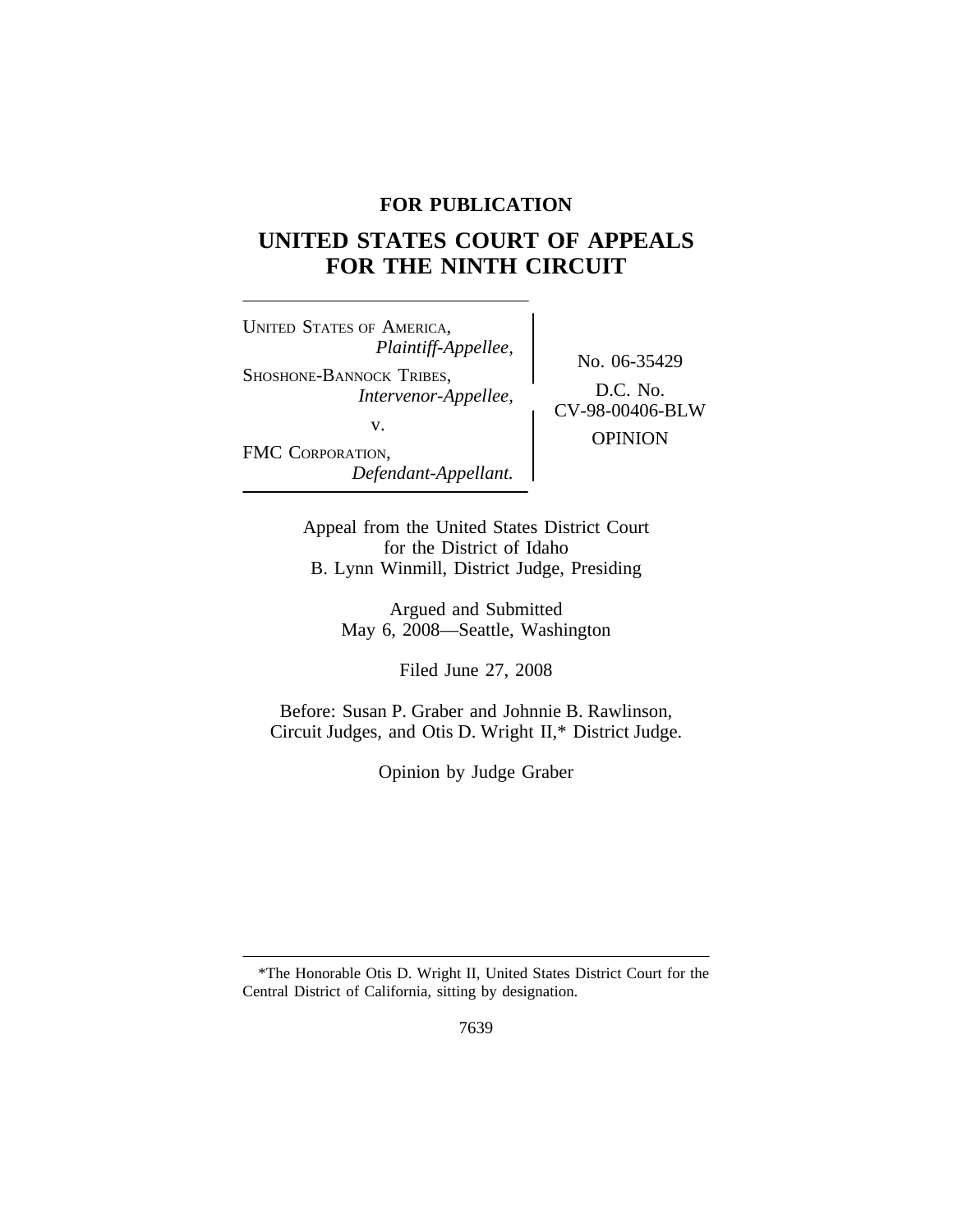## **FOR PUBLICATION**

# **UNITED STATES COURT OF APPEALS FOR THE NINTH CIRCUIT**

<sup>U</sup>NITED STATES OF AMERICA, *Plaintiff-Appellee,* SHOSHONE-BANNOCK TRIBES, D.C. No. *Intervenor-Appellee,* CV-98-00406-BLW v. FMC CORPORATION, *Defendant-Appellant.*

No. 06-35429 OPINION

Appeal from the United States District Court for the District of Idaho B. Lynn Winmill, District Judge, Presiding

> Argued and Submitted May 6, 2008—Seattle, Washington

> > Filed June 27, 2008

Before: Susan P. Graber and Johnnie B. Rawlinson, Circuit Judges, and Otis D. Wright II,\* District Judge.

Opinion by Judge Graber

<sup>\*</sup>The Honorable Otis D. Wright II, United States District Court for the Central District of California, sitting by designation.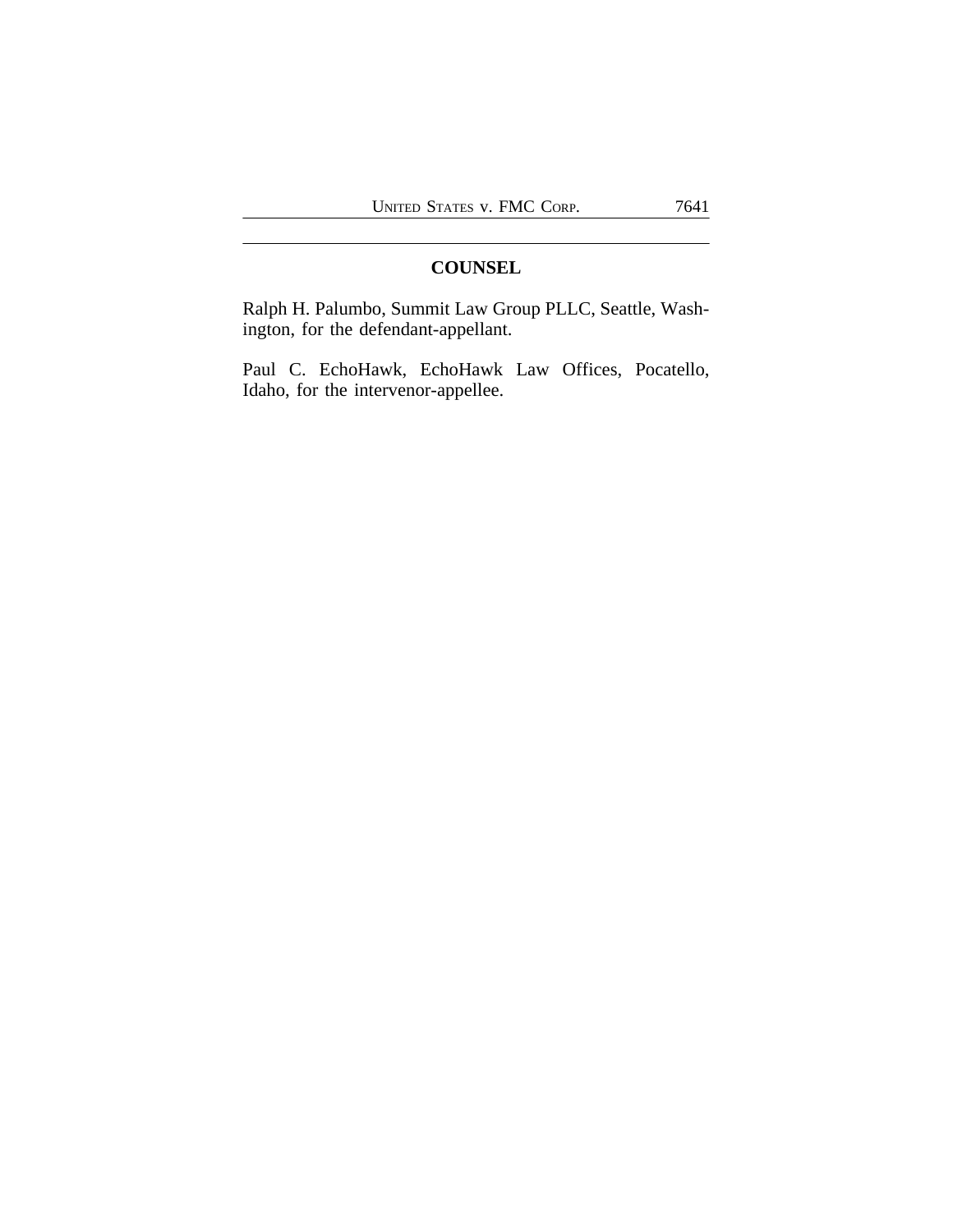# **COUNSEL**

Ralph H. Palumbo, Summit Law Group PLLC, Seattle, Washington, for the defendant-appellant.

Paul C. EchoHawk, EchoHawk Law Offices, Pocatello, Idaho, for the intervenor-appellee.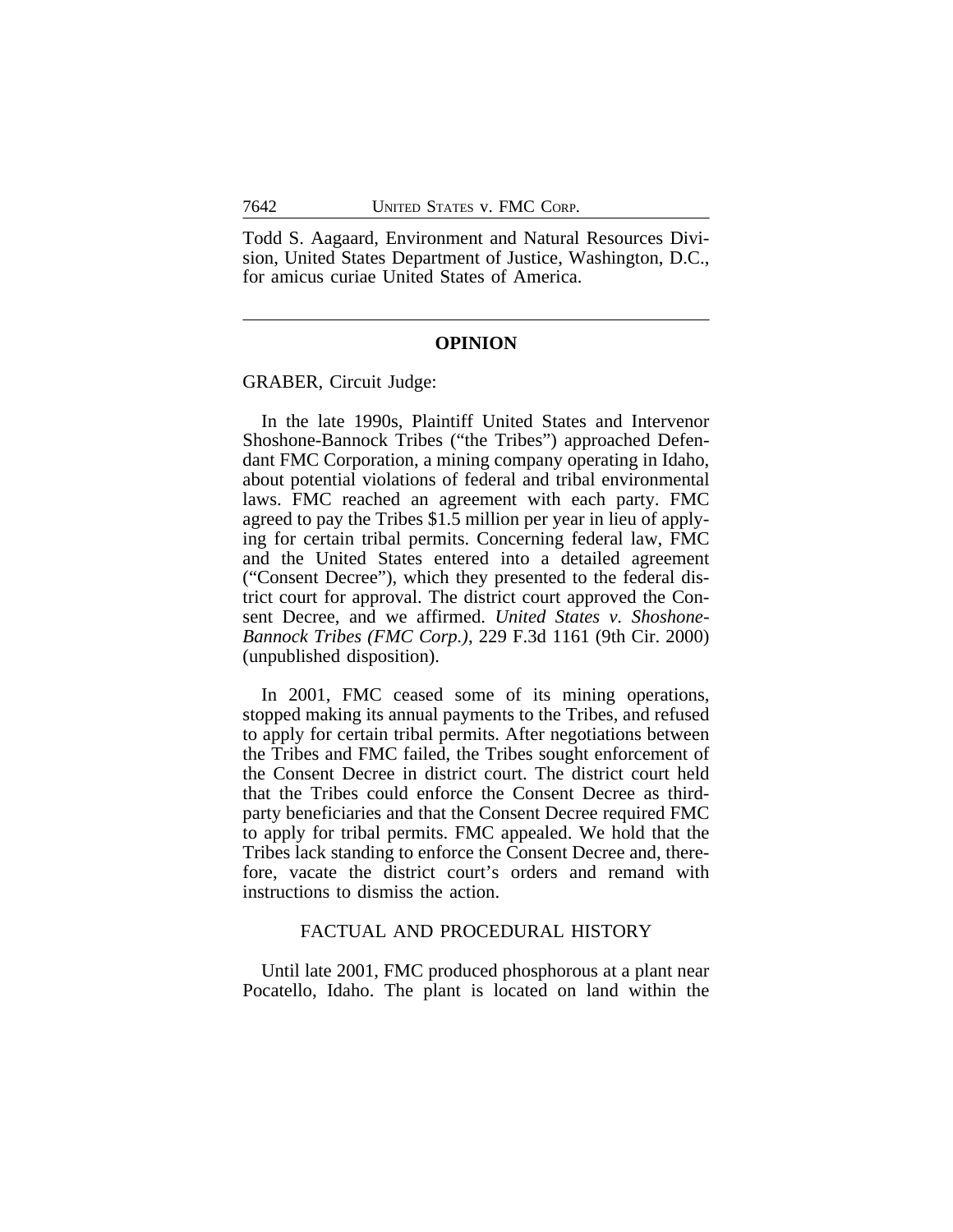Todd S. Aagaard, Environment and Natural Resources Division, United States Department of Justice, Washington, D.C., for amicus curiae United States of America.

#### **OPINION**

GRABER, Circuit Judge:

In the late 1990s, Plaintiff United States and Intervenor Shoshone-Bannock Tribes ("the Tribes") approached Defendant FMC Corporation, a mining company operating in Idaho, about potential violations of federal and tribal environmental laws. FMC reached an agreement with each party. FMC agreed to pay the Tribes \$1.5 million per year in lieu of applying for certain tribal permits. Concerning federal law, FMC and the United States entered into a detailed agreement ("Consent Decree"), which they presented to the federal district court for approval. The district court approved the Consent Decree, and we affirmed. *United States v. Shoshone-Bannock Tribes (FMC Corp.)*, 229 F.3d 1161 (9th Cir. 2000) (unpublished disposition).

In 2001, FMC ceased some of its mining operations, stopped making its annual payments to the Tribes, and refused to apply for certain tribal permits. After negotiations between the Tribes and FMC failed, the Tribes sought enforcement of the Consent Decree in district court. The district court held that the Tribes could enforce the Consent Decree as thirdparty beneficiaries and that the Consent Decree required FMC to apply for tribal permits. FMC appealed. We hold that the Tribes lack standing to enforce the Consent Decree and, therefore, vacate the district court's orders and remand with instructions to dismiss the action.

### FACTUAL AND PROCEDURAL HISTORY

Until late 2001, FMC produced phosphorous at a plant near Pocatello, Idaho. The plant is located on land within the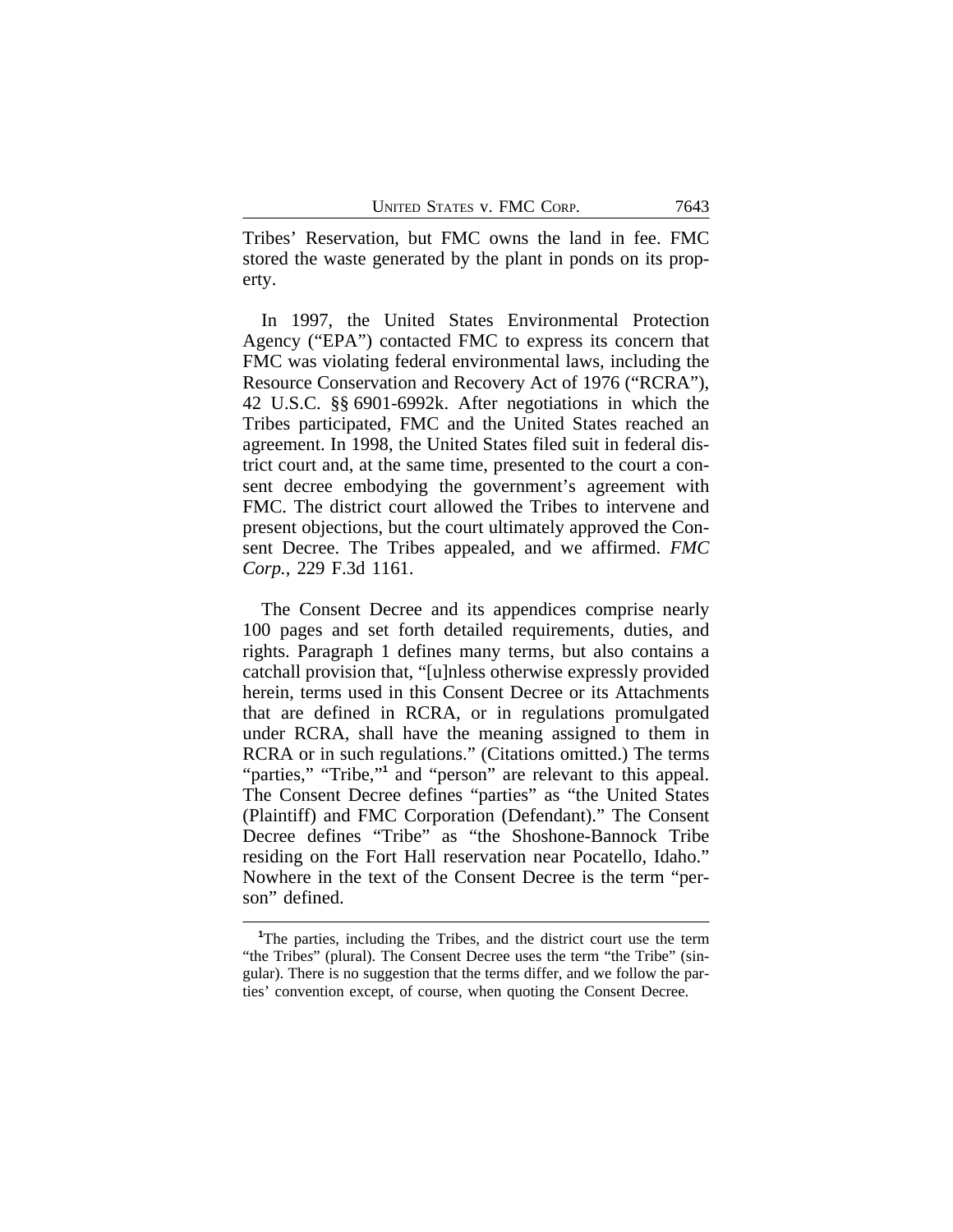Tribes' Reservation, but FMC owns the land in fee. FMC stored the waste generated by the plant in ponds on its property.

In 1997, the United States Environmental Protection Agency ("EPA") contacted FMC to express its concern that FMC was violating federal environmental laws, including the Resource Conservation and Recovery Act of 1976 ("RCRA"), 42 U.S.C. §§ 6901-6992k. After negotiations in which the Tribes participated, FMC and the United States reached an agreement. In 1998, the United States filed suit in federal district court and, at the same time, presented to the court a consent decree embodying the government's agreement with FMC. The district court allowed the Tribes to intervene and present objections, but the court ultimately approved the Consent Decree. The Tribes appealed, and we affirmed. *FMC Corp.*, 229 F.3d 1161.

The Consent Decree and its appendices comprise nearly 100 pages and set forth detailed requirements, duties, and rights. Paragraph 1 defines many terms, but also contains a catchall provision that, "[u]nless otherwise expressly provided herein, terms used in this Consent Decree or its Attachments that are defined in RCRA, or in regulations promulgated under RCRA, shall have the meaning assigned to them in RCRA or in such regulations." (Citations omitted.) The terms "parties," "Tribe,"<sup>1</sup> and "person" are relevant to this appeal. The Consent Decree defines "parties" as "the United States (Plaintiff) and FMC Corporation (Defendant)." The Consent Decree defines "Tribe" as "the Shoshone-Bannock Tribe residing on the Fort Hall reservation near Pocatello, Idaho." Nowhere in the text of the Consent Decree is the term "person" defined.

**<sup>1</sup>**The parties, including the Tribes, and the district court use the term "the Tribe*s*" (plural). The Consent Decree uses the term "the Tribe" (singular). There is no suggestion that the terms differ, and we follow the parties' convention except, of course, when quoting the Consent Decree.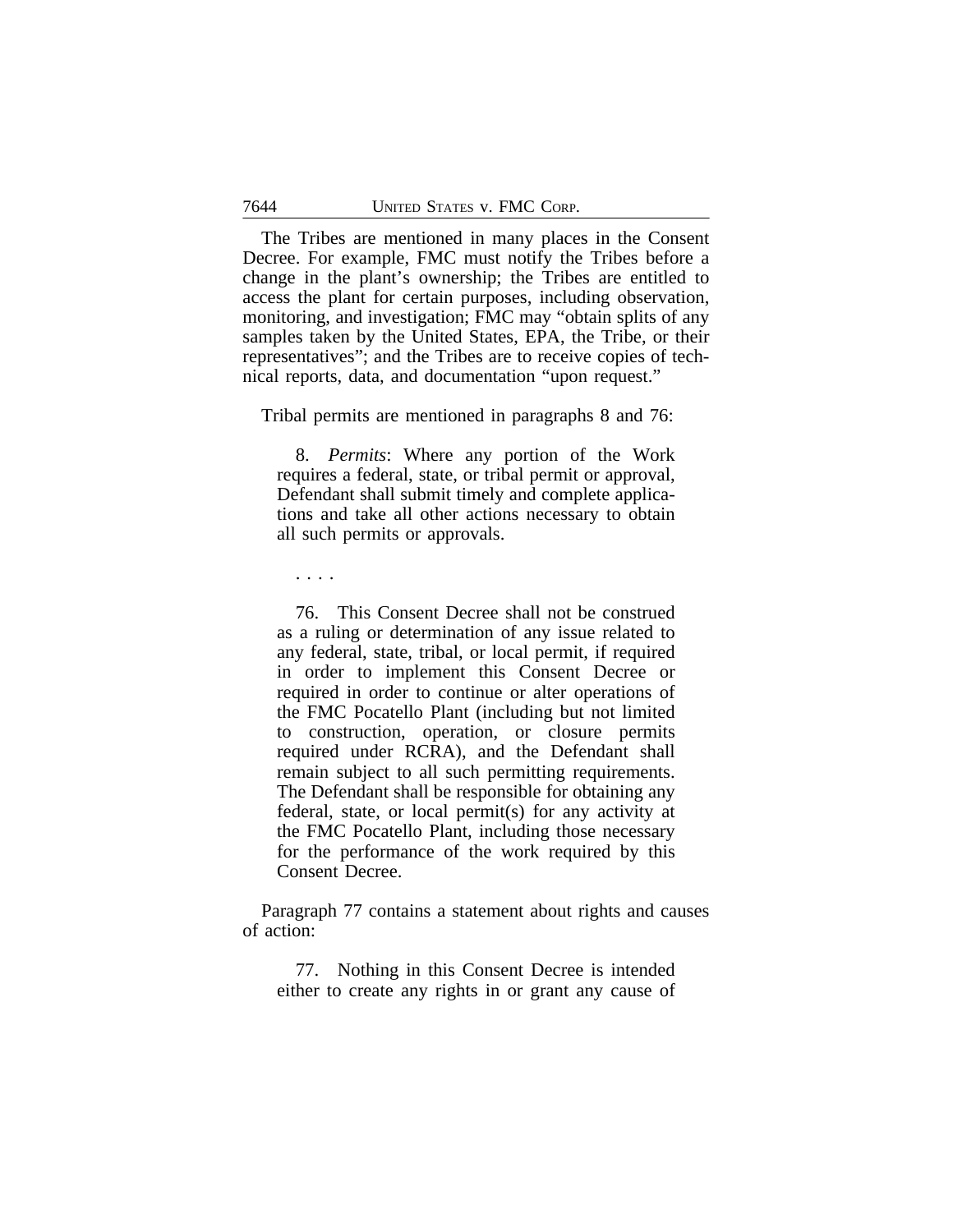The Tribes are mentioned in many places in the Consent Decree. For example, FMC must notify the Tribes before a change in the plant's ownership; the Tribes are entitled to access the plant for certain purposes, including observation, monitoring, and investigation; FMC may "obtain splits of any samples taken by the United States, EPA, the Tribe, or their representatives"; and the Tribes are to receive copies of technical reports, data, and documentation "upon request."

Tribal permits are mentioned in paragraphs 8 and 76:

8. *Permits*: Where any portion of the Work requires a federal, state, or tribal permit or approval, Defendant shall submit timely and complete applications and take all other actions necessary to obtain all such permits or approvals.

. . . .

76. This Consent Decree shall not be construed as a ruling or determination of any issue related to any federal, state, tribal, or local permit, if required in order to implement this Consent Decree or required in order to continue or alter operations of the FMC Pocatello Plant (including but not limited to construction, operation, or closure permits required under RCRA), and the Defendant shall remain subject to all such permitting requirements. The Defendant shall be responsible for obtaining any federal, state, or local permit(s) for any activity at the FMC Pocatello Plant, including those necessary for the performance of the work required by this Consent Decree.

Paragraph 77 contains a statement about rights and causes of action:

77. Nothing in this Consent Decree is intended either to create any rights in or grant any cause of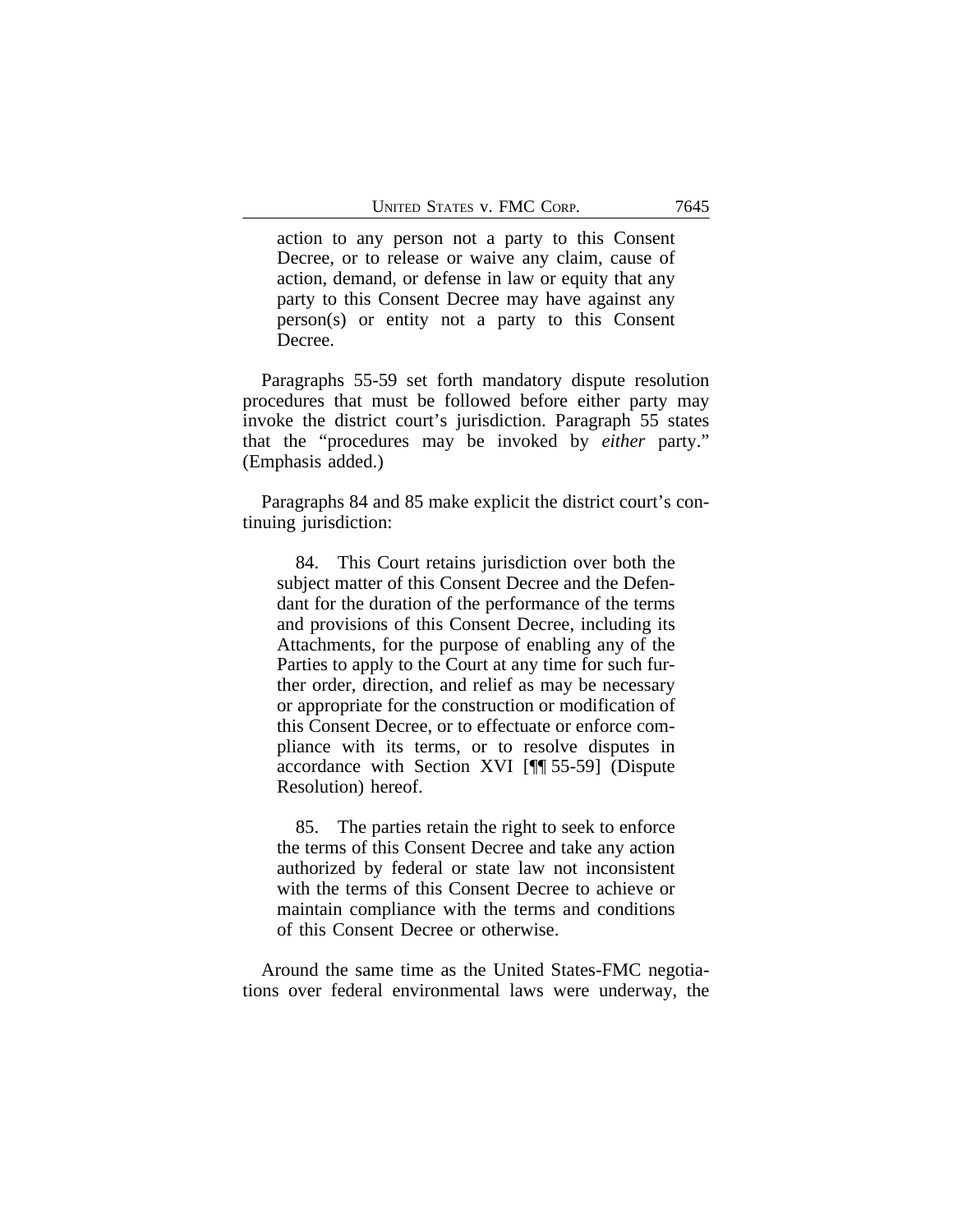action to any person not a party to this Consent Decree, or to release or waive any claim, cause of action, demand, or defense in law or equity that any party to this Consent Decree may have against any person(s) or entity not a party to this Consent Decree.

Paragraphs 55-59 set forth mandatory dispute resolution procedures that must be followed before either party may invoke the district court's jurisdiction. Paragraph 55 states that the "procedures may be invoked by *either* party." (Emphasis added.)

Paragraphs 84 and 85 make explicit the district court's continuing jurisdiction:

84. This Court retains jurisdiction over both the subject matter of this Consent Decree and the Defendant for the duration of the performance of the terms and provisions of this Consent Decree, including its Attachments, for the purpose of enabling any of the Parties to apply to the Court at any time for such further order, direction, and relief as may be necessary or appropriate for the construction or modification of this Consent Decree, or to effectuate or enforce compliance with its terms, or to resolve disputes in accordance with Section XVI [¶¶ 55-59] (Dispute Resolution) hereof.

85. The parties retain the right to seek to enforce the terms of this Consent Decree and take any action authorized by federal or state law not inconsistent with the terms of this Consent Decree to achieve or maintain compliance with the terms and conditions of this Consent Decree or otherwise.

Around the same time as the United States-FMC negotiations over federal environmental laws were underway, the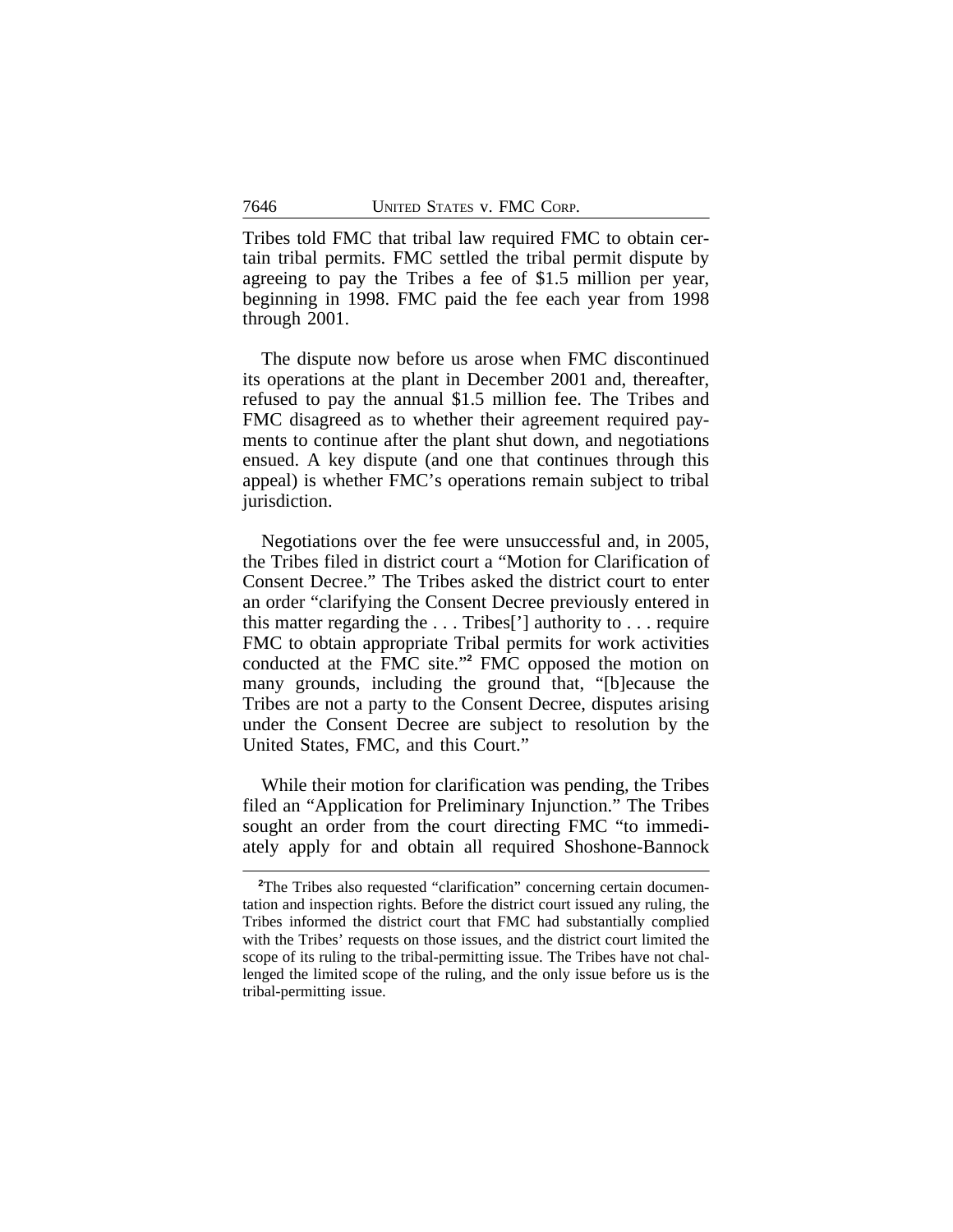Tribes told FMC that tribal law required FMC to obtain certain tribal permits. FMC settled the tribal permit dispute by agreeing to pay the Tribes a fee of \$1.5 million per year, beginning in 1998. FMC paid the fee each year from 1998 through 2001.

The dispute now before us arose when FMC discontinued its operations at the plant in December 2001 and, thereafter, refused to pay the annual \$1.5 million fee. The Tribes and FMC disagreed as to whether their agreement required payments to continue after the plant shut down, and negotiations ensued. A key dispute (and one that continues through this appeal) is whether FMC's operations remain subject to tribal jurisdiction.

Negotiations over the fee were unsuccessful and, in 2005, the Tribes filed in district court a "Motion for Clarification of Consent Decree." The Tribes asked the district court to enter an order "clarifying the Consent Decree previously entered in this matter regarding the . . . Tribes['] authority to . . . require FMC to obtain appropriate Tribal permits for work activities conducted at the FMC site." **2** FMC opposed the motion on many grounds, including the ground that, "[b]ecause the Tribes are not a party to the Consent Decree, disputes arising under the Consent Decree are subject to resolution by the United States, FMC, and this Court."

While their motion for clarification was pending, the Tribes filed an "Application for Preliminary Injunction." The Tribes sought an order from the court directing FMC "to immediately apply for and obtain all required Shoshone-Bannock

<sup>&</sup>lt;sup>2</sup>The Tribes also requested "clarification" concerning certain documentation and inspection rights. Before the district court issued any ruling, the Tribes informed the district court that FMC had substantially complied with the Tribes' requests on those issues, and the district court limited the scope of its ruling to the tribal-permitting issue. The Tribes have not challenged the limited scope of the ruling, and the only issue before us is the tribal-permitting issue.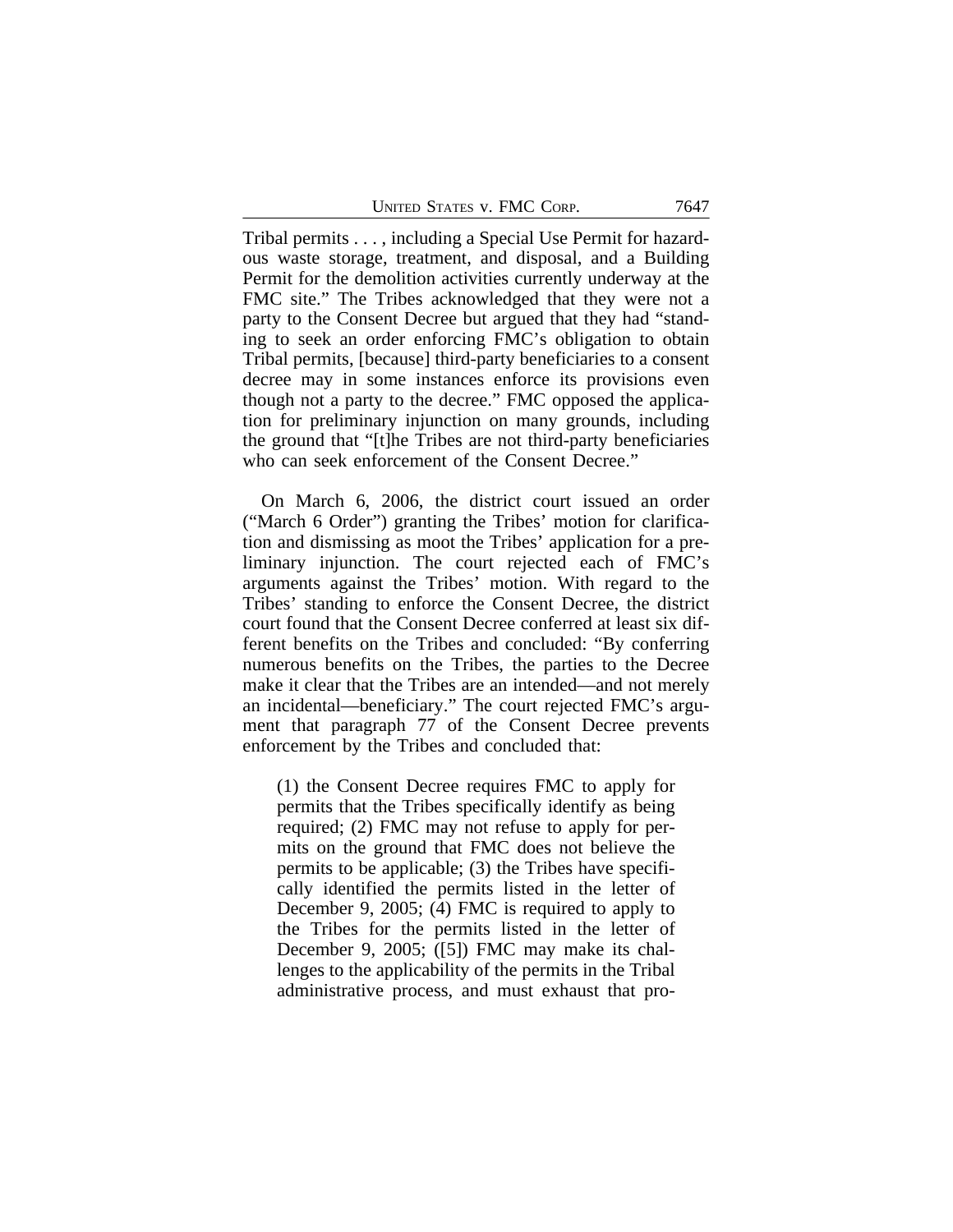Tribal permits . . . , including a Special Use Permit for hazardous waste storage, treatment, and disposal, and a Building Permit for the demolition activities currently underway at the FMC site." The Tribes acknowledged that they were not a party to the Consent Decree but argued that they had "standing to seek an order enforcing FMC's obligation to obtain Tribal permits, [because] third-party beneficiaries to a consent decree may in some instances enforce its provisions even though not a party to the decree." FMC opposed the application for preliminary injunction on many grounds, including the ground that "[t]he Tribes are not third-party beneficiaries who can seek enforcement of the Consent Decree."

On March 6, 2006, the district court issued an order ("March 6 Order") granting the Tribes' motion for clarification and dismissing as moot the Tribes' application for a preliminary injunction. The court rejected each of FMC's arguments against the Tribes' motion. With regard to the Tribes' standing to enforce the Consent Decree, the district court found that the Consent Decree conferred at least six different benefits on the Tribes and concluded: "By conferring numerous benefits on the Tribes, the parties to the Decree make it clear that the Tribes are an intended—and not merely an incidental—beneficiary." The court rejected FMC's argument that paragraph 77 of the Consent Decree prevents enforcement by the Tribes and concluded that:

(1) the Consent Decree requires FMC to apply for permits that the Tribes specifically identify as being required; (2) FMC may not refuse to apply for permits on the ground that FMC does not believe the permits to be applicable; (3) the Tribes have specifically identified the permits listed in the letter of December 9, 2005; (4) FMC is required to apply to the Tribes for the permits listed in the letter of December 9, 2005; ([5]) FMC may make its challenges to the applicability of the permits in the Tribal administrative process, and must exhaust that pro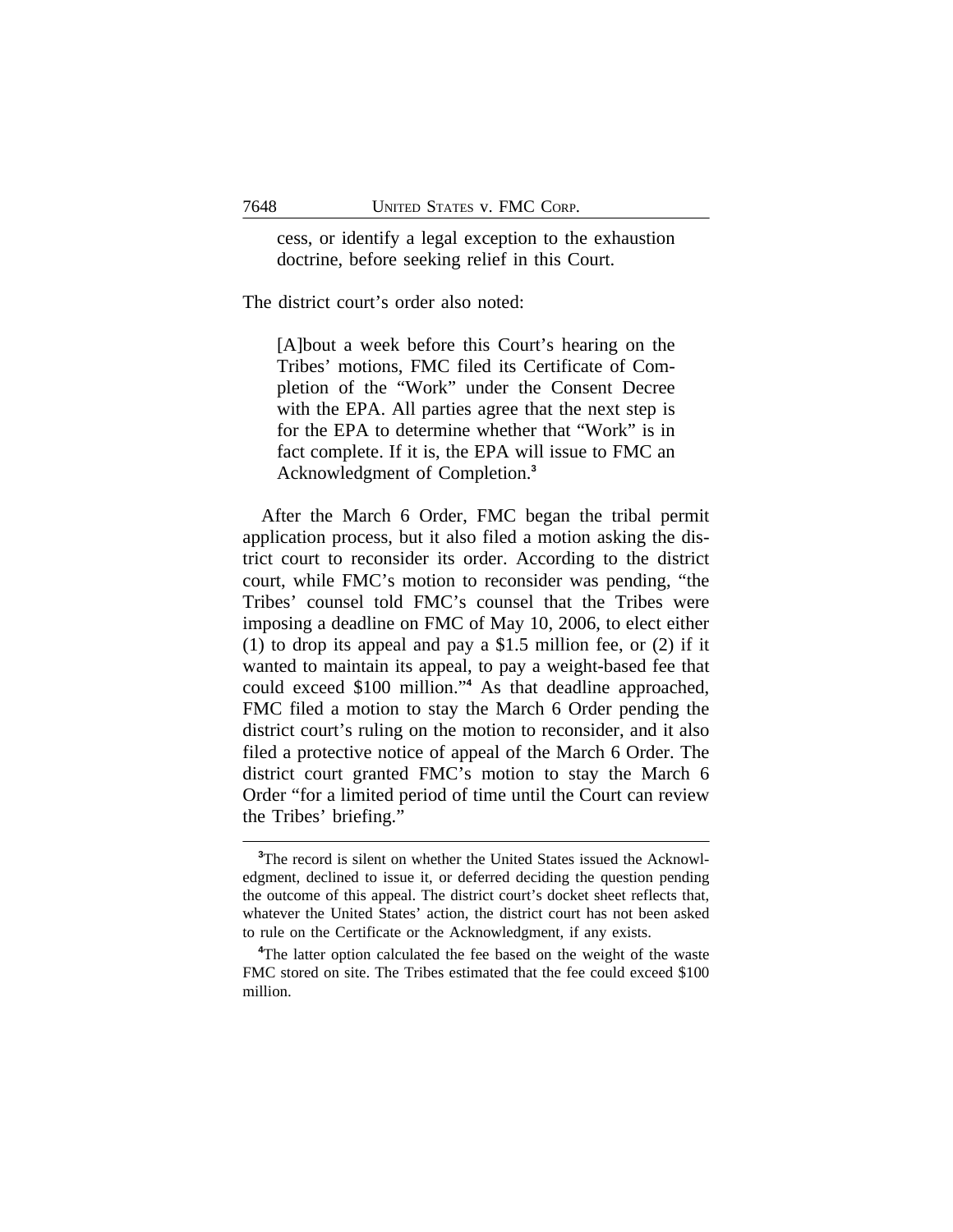cess, or identify a legal exception to the exhaustion doctrine, before seeking relief in this Court.

The district court's order also noted:

[A]bout a week before this Court's hearing on the Tribes' motions, FMC filed its Certificate of Completion of the "Work" under the Consent Decree with the EPA. All parties agree that the next step is for the EPA to determine whether that "Work" is in fact complete. If it is, the EPA will issue to FMC an Acknowledgment of Completion.**<sup>3</sup>**

After the March 6 Order, FMC began the tribal permit application process, but it also filed a motion asking the district court to reconsider its order. According to the district court, while FMC's motion to reconsider was pending, "the Tribes' counsel told FMC's counsel that the Tribes were imposing a deadline on FMC of May 10, 2006, to elect either (1) to drop its appeal and pay a \$1.5 million fee, or (2) if it wanted to maintain its appeal, to pay a weight-based fee that could exceed \$100 million." **4** As that deadline approached, FMC filed a motion to stay the March 6 Order pending the district court's ruling on the motion to reconsider, and it also filed a protective notice of appeal of the March 6 Order. The district court granted FMC's motion to stay the March 6 Order "for a limited period of time until the Court can review the Tribes' briefing."

**<sup>3</sup>**The record is silent on whether the United States issued the Acknowledgment, declined to issue it, or deferred deciding the question pending the outcome of this appeal. The district court's docket sheet reflects that, whatever the United States' action, the district court has not been asked to rule on the Certificate or the Acknowledgment, if any exists.

**<sup>4</sup>**The latter option calculated the fee based on the weight of the waste FMC stored on site. The Tribes estimated that the fee could exceed \$100 million.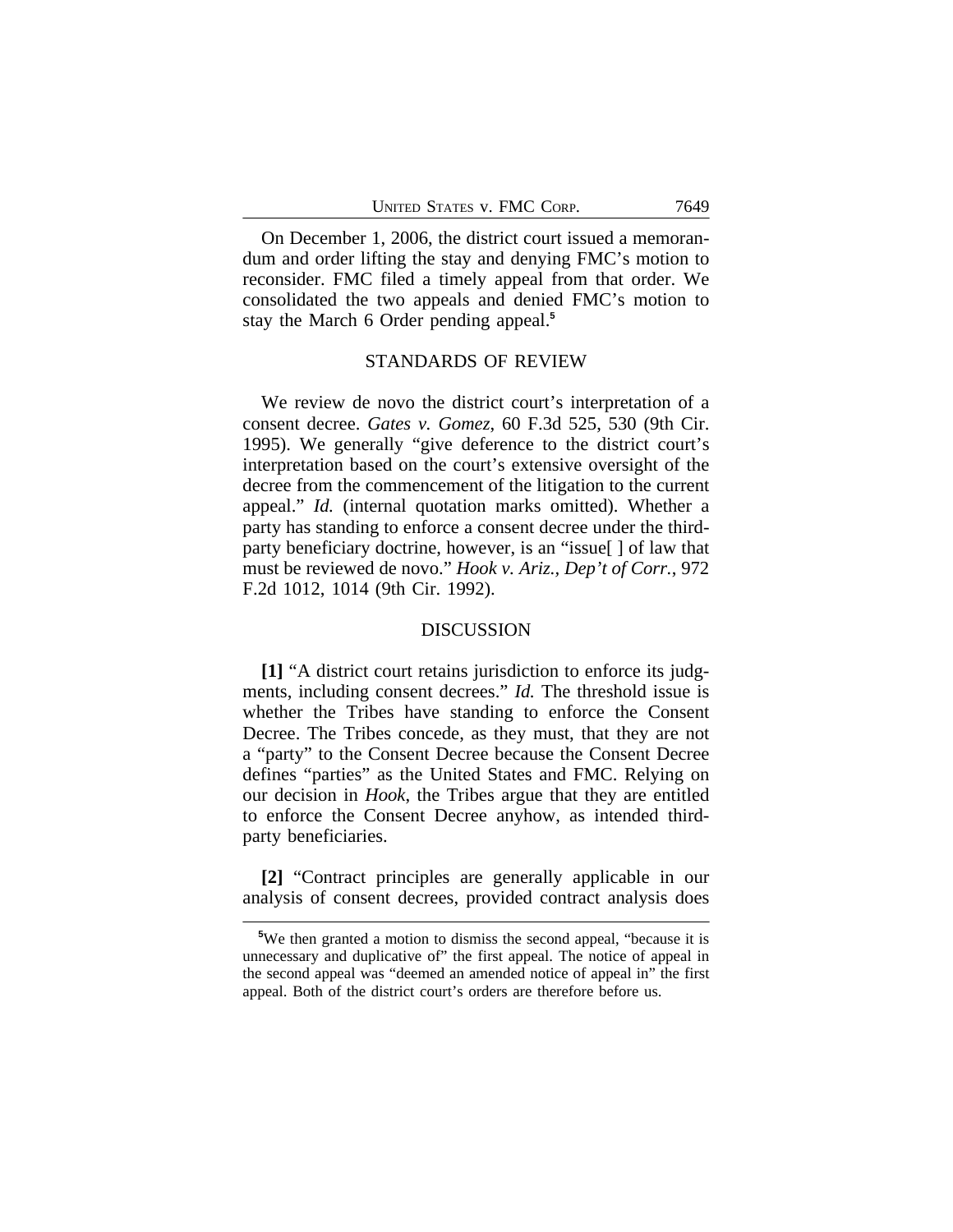On December 1, 2006, the district court issued a memorandum and order lifting the stay and denying FMC's motion to reconsider. FMC filed a timely appeal from that order. We consolidated the two appeals and denied FMC's motion to stay the March 6 Order pending appeal.**<sup>5</sup>**

#### STANDARDS OF REVIEW

We review de novo the district court's interpretation of a consent decree. *Gates v. Gomez*, 60 F.3d 525, 530 (9th Cir. 1995). We generally "give deference to the district court's interpretation based on the court's extensive oversight of the decree from the commencement of the litigation to the current appeal." *Id.* (internal quotation marks omitted). Whether a party has standing to enforce a consent decree under the thirdparty beneficiary doctrine, however, is an "issue[ ] of law that must be reviewed de novo." *Hook v. Ariz., Dep't of Corr.*, 972 F.2d 1012, 1014 (9th Cir. 1992).

#### DISCUSSION

**[1]** "A district court retains jurisdiction to enforce its judgments, including consent decrees." *Id.* The threshold issue is whether the Tribes have standing to enforce the Consent Decree. The Tribes concede, as they must, that they are not a "party" to the Consent Decree because the Consent Decree defines "parties" as the United States and FMC. Relying on our decision in *Hook*, the Tribes argue that they are entitled to enforce the Consent Decree anyhow, as intended thirdparty beneficiaries.

**[2]** "Contract principles are generally applicable in our analysis of consent decrees, provided contract analysis does

**<sup>5</sup>**We then granted a motion to dismiss the second appeal, "because it is unnecessary and duplicative of" the first appeal. The notice of appeal in the second appeal was "deemed an amended notice of appeal in" the first appeal. Both of the district court's orders are therefore before us.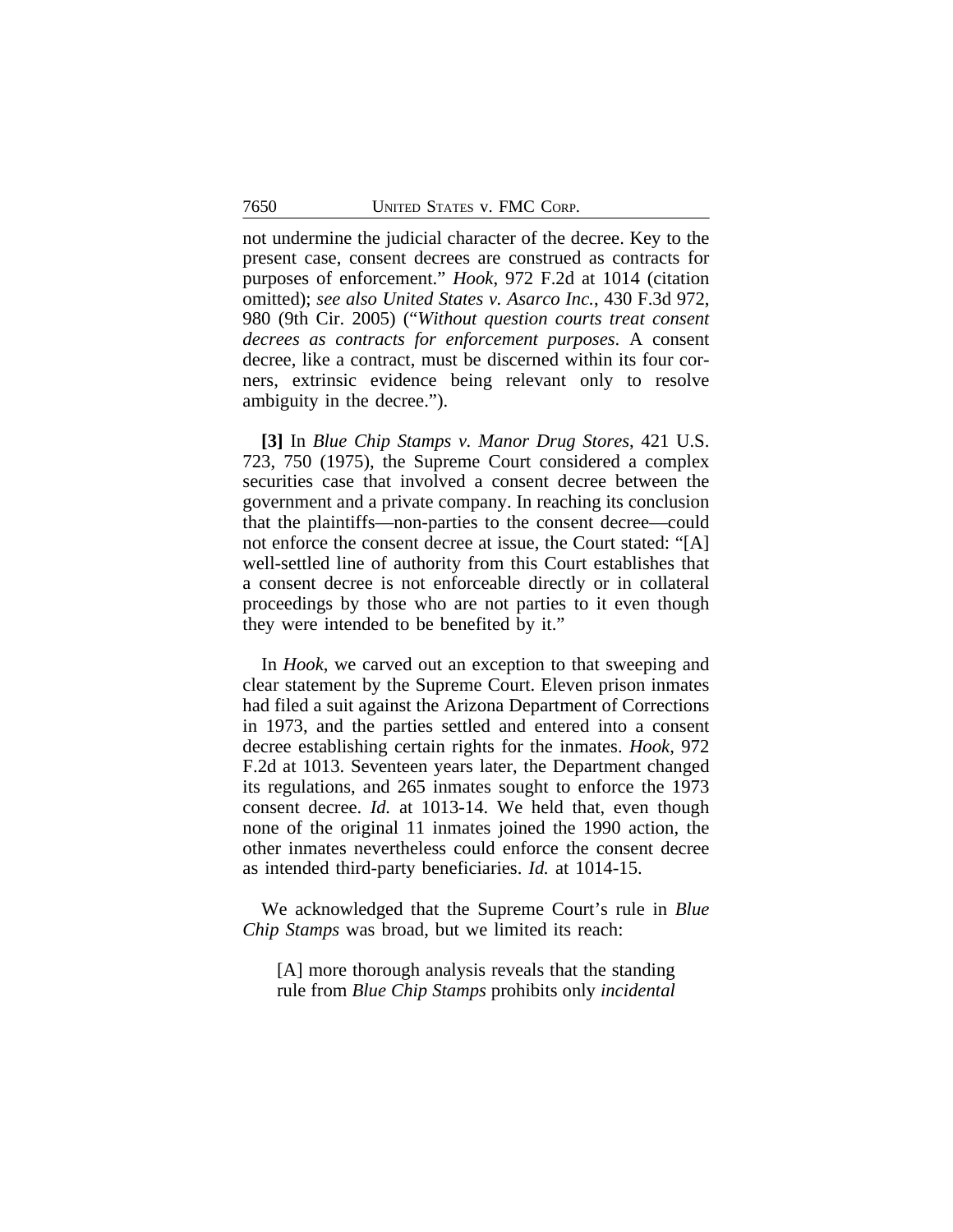not undermine the judicial character of the decree. Key to the present case, consent decrees are construed as contracts for purposes of enforcement." *Hook*, 972 F.2d at 1014 (citation omitted); *see also United States v. Asarco Inc.*, 430 F.3d 972, 980 (9th Cir. 2005) ("*Without question courts treat consent decrees as contracts for enforcement purposes*. A consent decree, like a contract, must be discerned within its four corners, extrinsic evidence being relevant only to resolve ambiguity in the decree.").

**[3]** In *Blue Chip Stamps v. Manor Drug Stores*, 421 U.S. 723, 750 (1975), the Supreme Court considered a complex securities case that involved a consent decree between the government and a private company. In reaching its conclusion that the plaintiffs—non-parties to the consent decree—could not enforce the consent decree at issue, the Court stated: "[A] well-settled line of authority from this Court establishes that a consent decree is not enforceable directly or in collateral proceedings by those who are not parties to it even though they were intended to be benefited by it."

In *Hook*, we carved out an exception to that sweeping and clear statement by the Supreme Court. Eleven prison inmates had filed a suit against the Arizona Department of Corrections in 1973, and the parties settled and entered into a consent decree establishing certain rights for the inmates. *Hook*, 972 F.2d at 1013. Seventeen years later, the Department changed its regulations, and 265 inmates sought to enforce the 1973 consent decree. *Id.* at 1013-14. We held that, even though none of the original 11 inmates joined the 1990 action, the other inmates nevertheless could enforce the consent decree as intended third-party beneficiaries. *Id.* at 1014-15.

We acknowledged that the Supreme Court's rule in *Blue Chip Stamps* was broad, but we limited its reach:

[A] more thorough analysis reveals that the standing rule from *Blue Chip Stamps* prohibits only *incidental*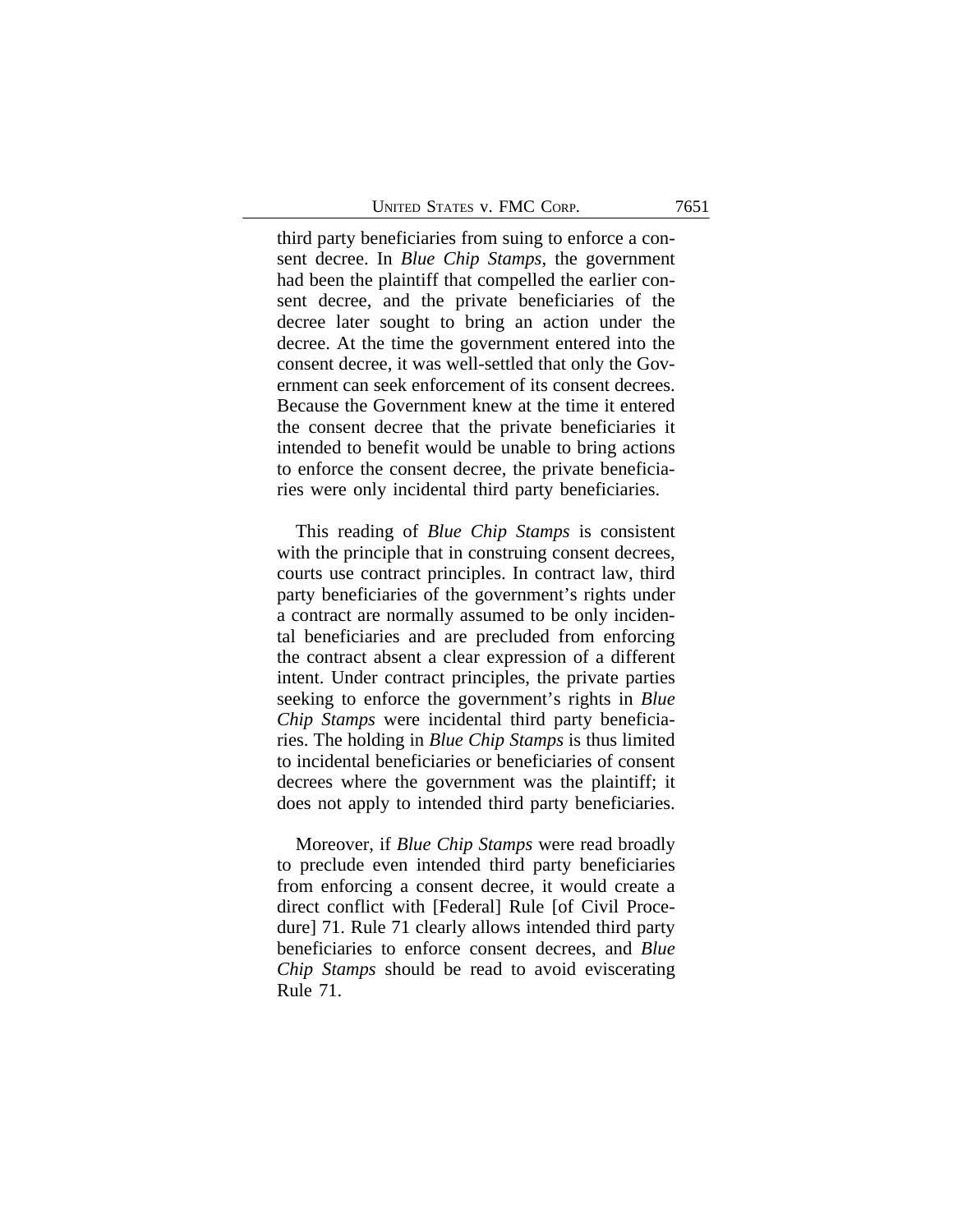third party beneficiaries from suing to enforce a consent decree. In *Blue Chip Stamps*, the government had been the plaintiff that compelled the earlier consent decree, and the private beneficiaries of the decree later sought to bring an action under the decree. At the time the government entered into the consent decree, it was well-settled that only the Government can seek enforcement of its consent decrees. Because the Government knew at the time it entered the consent decree that the private beneficiaries it intended to benefit would be unable to bring actions to enforce the consent decree, the private beneficiaries were only incidental third party beneficiaries.

This reading of *Blue Chip Stamps* is consistent with the principle that in construing consent decrees, courts use contract principles. In contract law, third party beneficiaries of the government's rights under a contract are normally assumed to be only incidental beneficiaries and are precluded from enforcing the contract absent a clear expression of a different intent. Under contract principles, the private parties seeking to enforce the government's rights in *Blue Chip Stamps* were incidental third party beneficiaries. The holding in *Blue Chip Stamps* is thus limited to incidental beneficiaries or beneficiaries of consent decrees where the government was the plaintiff; it does not apply to intended third party beneficiaries.

Moreover, if *Blue Chip Stamps* were read broadly to preclude even intended third party beneficiaries from enforcing a consent decree, it would create a direct conflict with [Federal] Rule [of Civil Procedure] 71. Rule 71 clearly allows intended third party beneficiaries to enforce consent decrees, and *Blue Chip Stamps* should be read to avoid eviscerating Rule 71.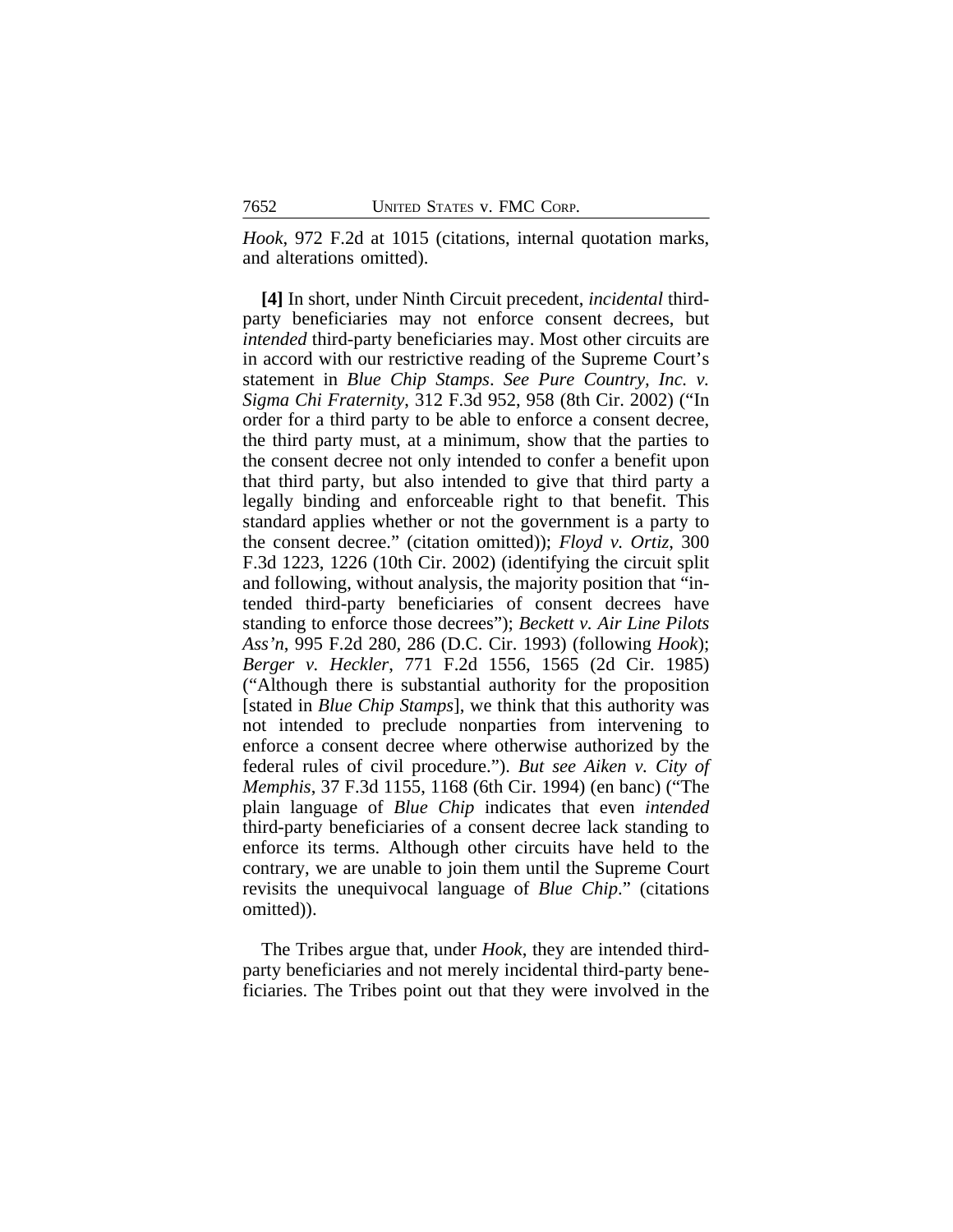*Hook*, 972 F.2d at 1015 (citations, internal quotation marks, and alterations omitted).

**[4]** In short, under Ninth Circuit precedent, *incidental* thirdparty beneficiaries may not enforce consent decrees, but *intended* third-party beneficiaries may. Most other circuits are in accord with our restrictive reading of the Supreme Court's statement in *Blue Chip Stamps*. *See Pure Country, Inc. v. Sigma Chi Fraternity*, 312 F.3d 952, 958 (8th Cir. 2002) ("In order for a third party to be able to enforce a consent decree, the third party must, at a minimum, show that the parties to the consent decree not only intended to confer a benefit upon that third party, but also intended to give that third party a legally binding and enforceable right to that benefit. This standard applies whether or not the government is a party to the consent decree." (citation omitted)); *Floyd v. Ortiz*, 300 F.3d 1223, 1226 (10th Cir. 2002) (identifying the circuit split and following, without analysis, the majority position that "intended third-party beneficiaries of consent decrees have standing to enforce those decrees"); *Beckett v. Air Line Pilots Ass'n*, 995 F.2d 280, 286 (D.C. Cir. 1993) (following *Hook*); *Berger v. Heckler*, 771 F.2d 1556, 1565 (2d Cir. 1985) ("Although there is substantial authority for the proposition [stated in *Blue Chip Stamps*], we think that this authority was not intended to preclude nonparties from intervening to enforce a consent decree where otherwise authorized by the federal rules of civil procedure."). *But see Aiken v. City of Memphis*, 37 F.3d 1155, 1168 (6th Cir. 1994) (en banc) ("The plain language of *Blue Chip* indicates that even *intended* third-party beneficiaries of a consent decree lack standing to enforce its terms. Although other circuits have held to the contrary, we are unable to join them until the Supreme Court revisits the unequivocal language of *Blue Chip*." (citations omitted)).

The Tribes argue that, under *Hook*, they are intended thirdparty beneficiaries and not merely incidental third-party beneficiaries. The Tribes point out that they were involved in the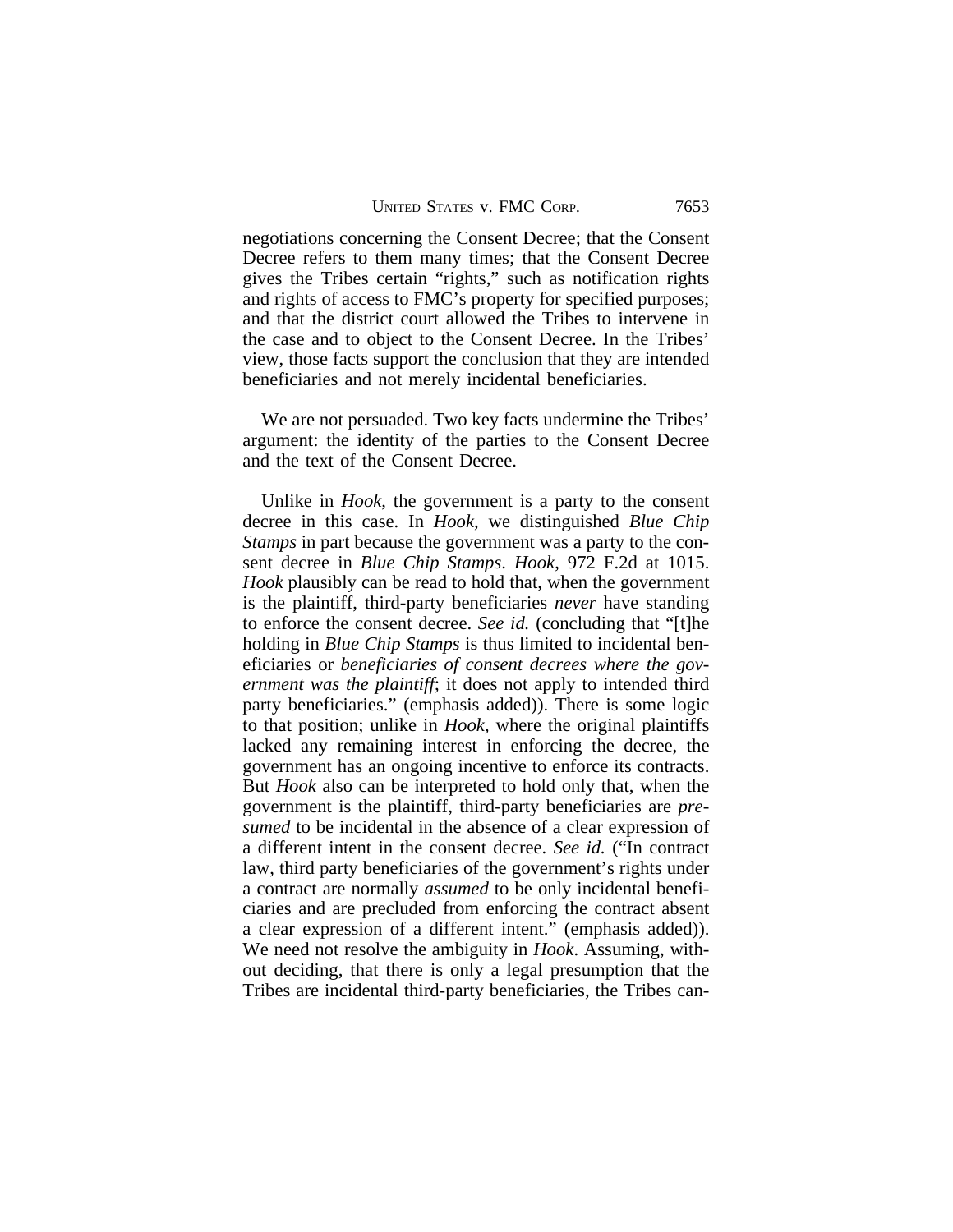negotiations concerning the Consent Decree; that the Consent Decree refers to them many times; that the Consent Decree gives the Tribes certain "rights," such as notification rights and rights of access to FMC's property for specified purposes; and that the district court allowed the Tribes to intervene in the case and to object to the Consent Decree. In the Tribes' view, those facts support the conclusion that they are intended beneficiaries and not merely incidental beneficiaries.

We are not persuaded. Two key facts undermine the Tribes' argument: the identity of the parties to the Consent Decree and the text of the Consent Decree.

Unlike in *Hook*, the government is a party to the consent decree in this case. In *Hook*, we distinguished *Blue Chip Stamps* in part because the government was a party to the consent decree in *Blue Chip Stamps*. *Hook*, 972 F.2d at 1015. *Hook* plausibly can be read to hold that, when the government is the plaintiff, third-party beneficiaries *never* have standing to enforce the consent decree. *See id.* (concluding that "[t]he holding in *Blue Chip Stamps* is thus limited to incidental beneficiaries or *beneficiaries of consent decrees where the government was the plaintiff*; it does not apply to intended third party beneficiaries." (emphasis added)). There is some logic to that position; unlike in *Hook*, where the original plaintiffs lacked any remaining interest in enforcing the decree, the government has an ongoing incentive to enforce its contracts. But *Hook* also can be interpreted to hold only that, when the government is the plaintiff, third-party beneficiaries are *presumed* to be incidental in the absence of a clear expression of a different intent in the consent decree. *See id.* ("In contract law, third party beneficiaries of the government's rights under a contract are normally *assumed* to be only incidental beneficiaries and are precluded from enforcing the contract absent a clear expression of a different intent." (emphasis added)). We need not resolve the ambiguity in *Hook*. Assuming, without deciding, that there is only a legal presumption that the Tribes are incidental third-party beneficiaries, the Tribes can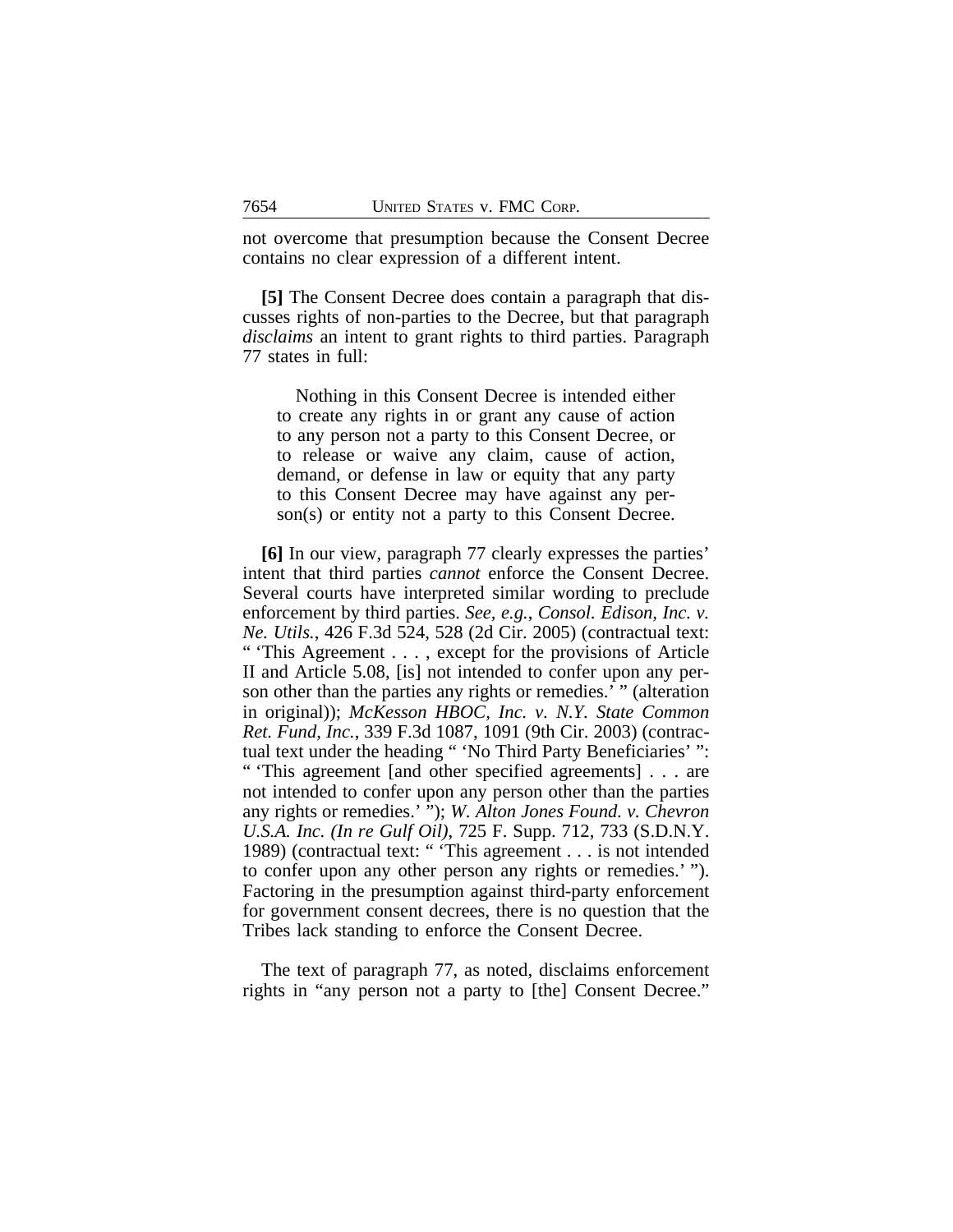not overcome that presumption because the Consent Decree contains no clear expression of a different intent.

**[5]** The Consent Decree does contain a paragraph that discusses rights of non-parties to the Decree, but that paragraph *disclaims* an intent to grant rights to third parties. Paragraph 77 states in full:

Nothing in this Consent Decree is intended either to create any rights in or grant any cause of action to any person not a party to this Consent Decree, or to release or waive any claim, cause of action, demand, or defense in law or equity that any party to this Consent Decree may have against any person(s) or entity not a party to this Consent Decree.

**[6]** In our view, paragraph 77 clearly expresses the parties' intent that third parties *cannot* enforce the Consent Decree. Several courts have interpreted similar wording to preclude enforcement by third parties. *See, e.g.*, *Consol. Edison, Inc. v. Ne. Utils.*, 426 F.3d 524, 528 (2d Cir. 2005) (contractual text: " 'This Agreement . . . , except for the provisions of Article II and Article 5.08, [is] not intended to confer upon any person other than the parties any rights or remedies.' " (alteration in original)); *McKesson HBOC, Inc. v. N.Y. State Common Ret. Fund, Inc.*, 339 F.3d 1087, 1091 (9th Cir. 2003) (contractual text under the heading " 'No Third Party Beneficiaries' ": " 'This agreement [and other specified agreements] . . . are

not intended to confer upon any person other than the parties any rights or remedies.' "); *W. Alton Jones Found. v. Chevron U.S.A. Inc. (In re Gulf Oil)*, 725 F. Supp. 712, 733 (S.D.N.Y. 1989) (contractual text: " 'This agreement . . . is not intended to confer upon any other person any rights or remedies.' "). Factoring in the presumption against third-party enforcement for government consent decrees, there is no question that the Tribes lack standing to enforce the Consent Decree.

The text of paragraph 77, as noted, disclaims enforcement rights in "any person not a party to [the] Consent Decree."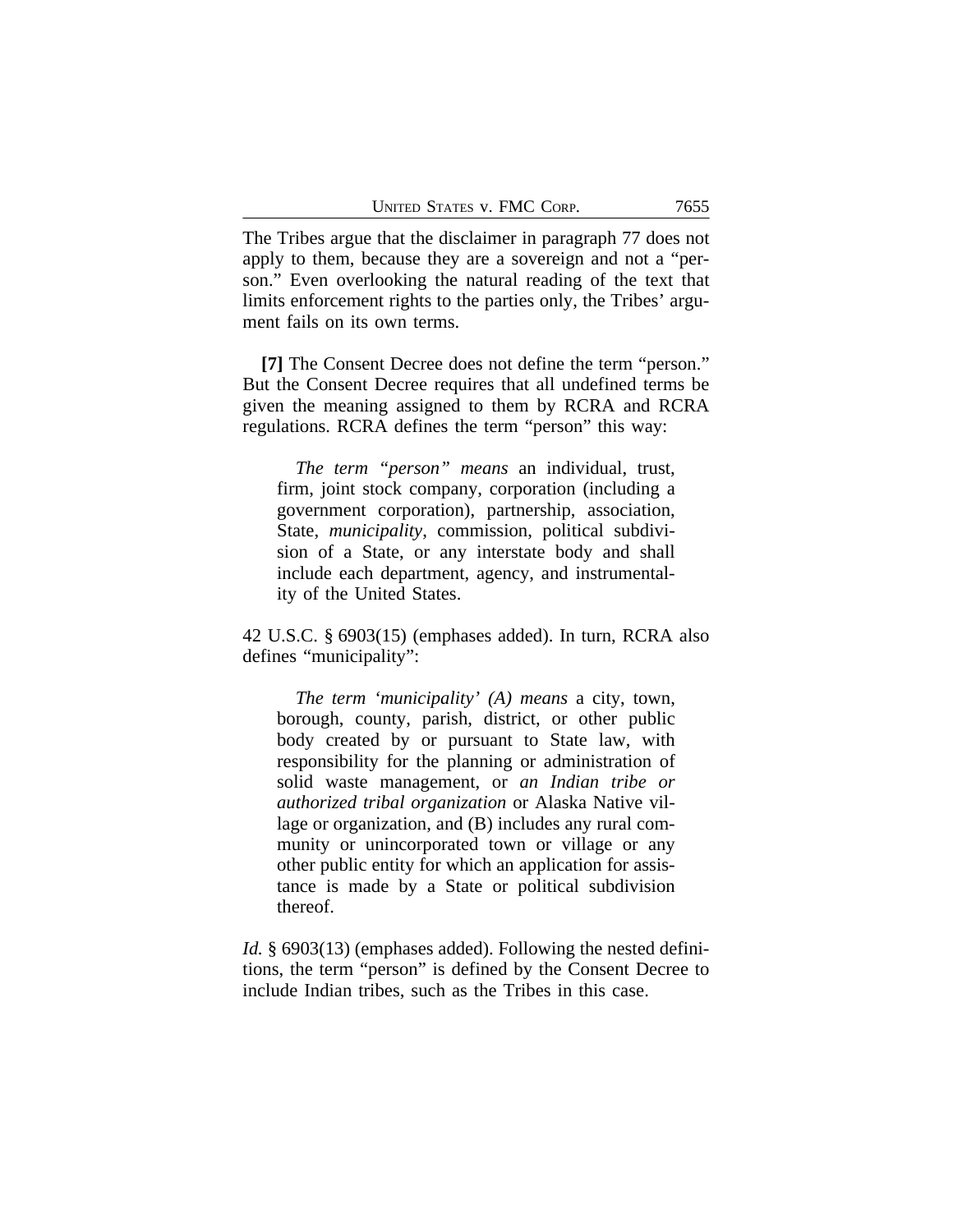The Tribes argue that the disclaimer in paragraph 77 does not apply to them, because they are a sovereign and not a "person." Even overlooking the natural reading of the text that limits enforcement rights to the parties only, the Tribes' argument fails on its own terms.

**[7]** The Consent Decree does not define the term "person." But the Consent Decree requires that all undefined terms be given the meaning assigned to them by RCRA and RCRA regulations. RCRA defines the term "person" this way:

*The term "person" means* an individual, trust, firm, joint stock company, corporation (including a government corporation), partnership, association, State, *municipality*, commission, political subdivision of a State, or any interstate body and shall include each department, agency, and instrumentality of the United States.

42 U.S.C. § 6903(15) (emphases added). In turn, RCRA also defines "municipality":

*The term 'municipality' (A) means* a city, town, borough, county, parish, district, or other public body created by or pursuant to State law, with responsibility for the planning or administration of solid waste management, or *an Indian tribe or authorized tribal organization* or Alaska Native village or organization, and (B) includes any rural community or unincorporated town or village or any other public entity for which an application for assistance is made by a State or political subdivision thereof.

*Id.* § 6903(13) (emphases added). Following the nested definitions, the term "person" is defined by the Consent Decree to include Indian tribes, such as the Tribes in this case.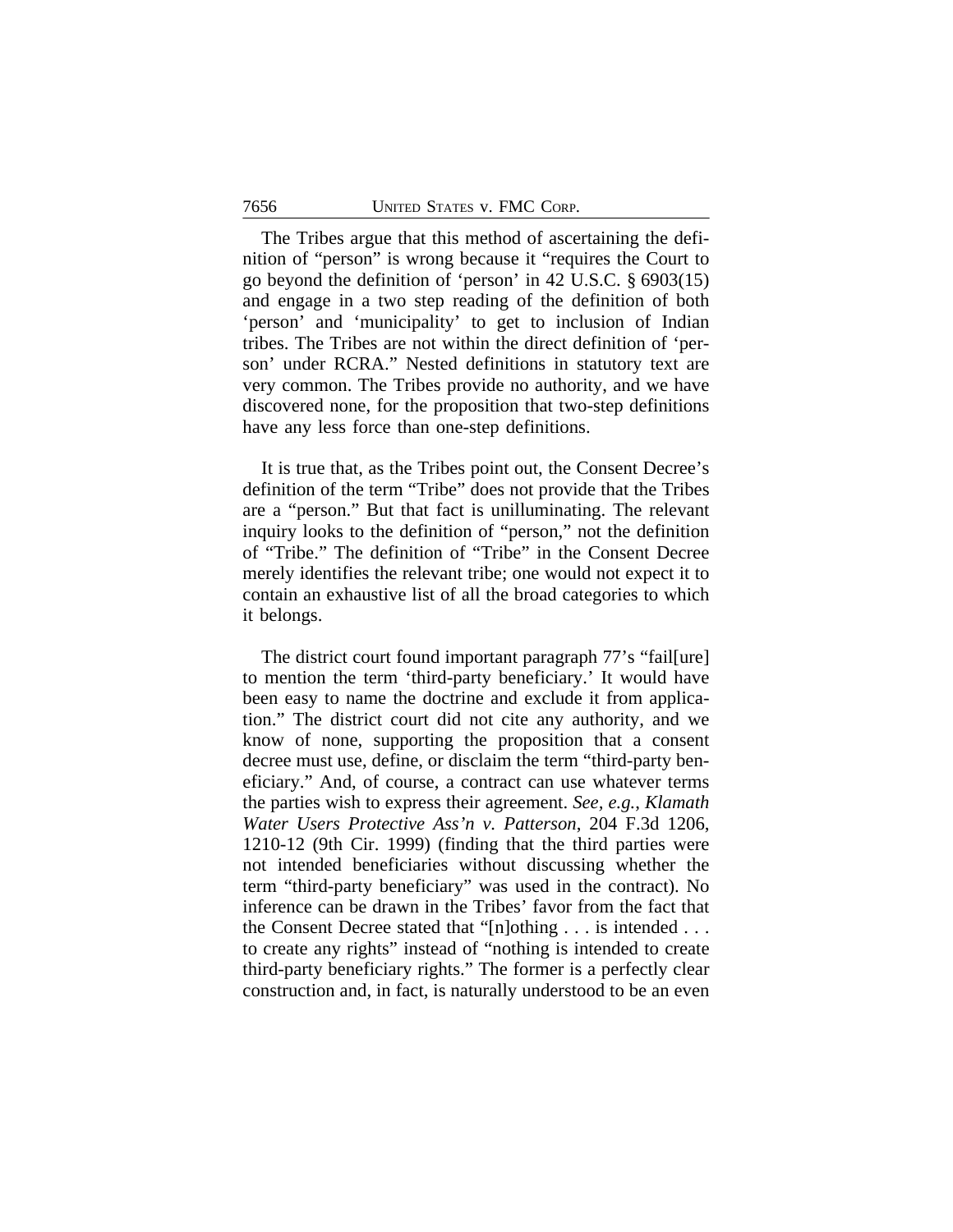The Tribes argue that this method of ascertaining the definition of "person" is wrong because it "requires the Court to go beyond the definition of 'person' in 42 U.S.C. § 6903(15) and engage in a two step reading of the definition of both 'person' and 'municipality' to get to inclusion of Indian tribes. The Tribes are not within the direct definition of 'person' under RCRA." Nested definitions in statutory text are very common. The Tribes provide no authority, and we have discovered none, for the proposition that two-step definitions have any less force than one-step definitions.

It is true that, as the Tribes point out, the Consent Decree's definition of the term "Tribe" does not provide that the Tribes are a "person." But that fact is unilluminating. The relevant inquiry looks to the definition of "person," not the definition of "Tribe." The definition of "Tribe" in the Consent Decree merely identifies the relevant tribe; one would not expect it to contain an exhaustive list of all the broad categories to which it belongs.

The district court found important paragraph 77's "fail[ure] to mention the term 'third-party beneficiary.' It would have been easy to name the doctrine and exclude it from application." The district court did not cite any authority, and we know of none, supporting the proposition that a consent decree must use, define, or disclaim the term "third-party beneficiary." And, of course, a contract can use whatever terms the parties wish to express their agreement. *See, e.g.*, *Klamath Water Users Protective Ass'n v. Patterson*, 204 F.3d 1206, 1210-12 (9th Cir. 1999) (finding that the third parties were not intended beneficiaries without discussing whether the term "third-party beneficiary" was used in the contract). No inference can be drawn in the Tribes' favor from the fact that the Consent Decree stated that "[n]othing . . . is intended . . . to create any rights" instead of "nothing is intended to create third-party beneficiary rights." The former is a perfectly clear construction and, in fact, is naturally understood to be an even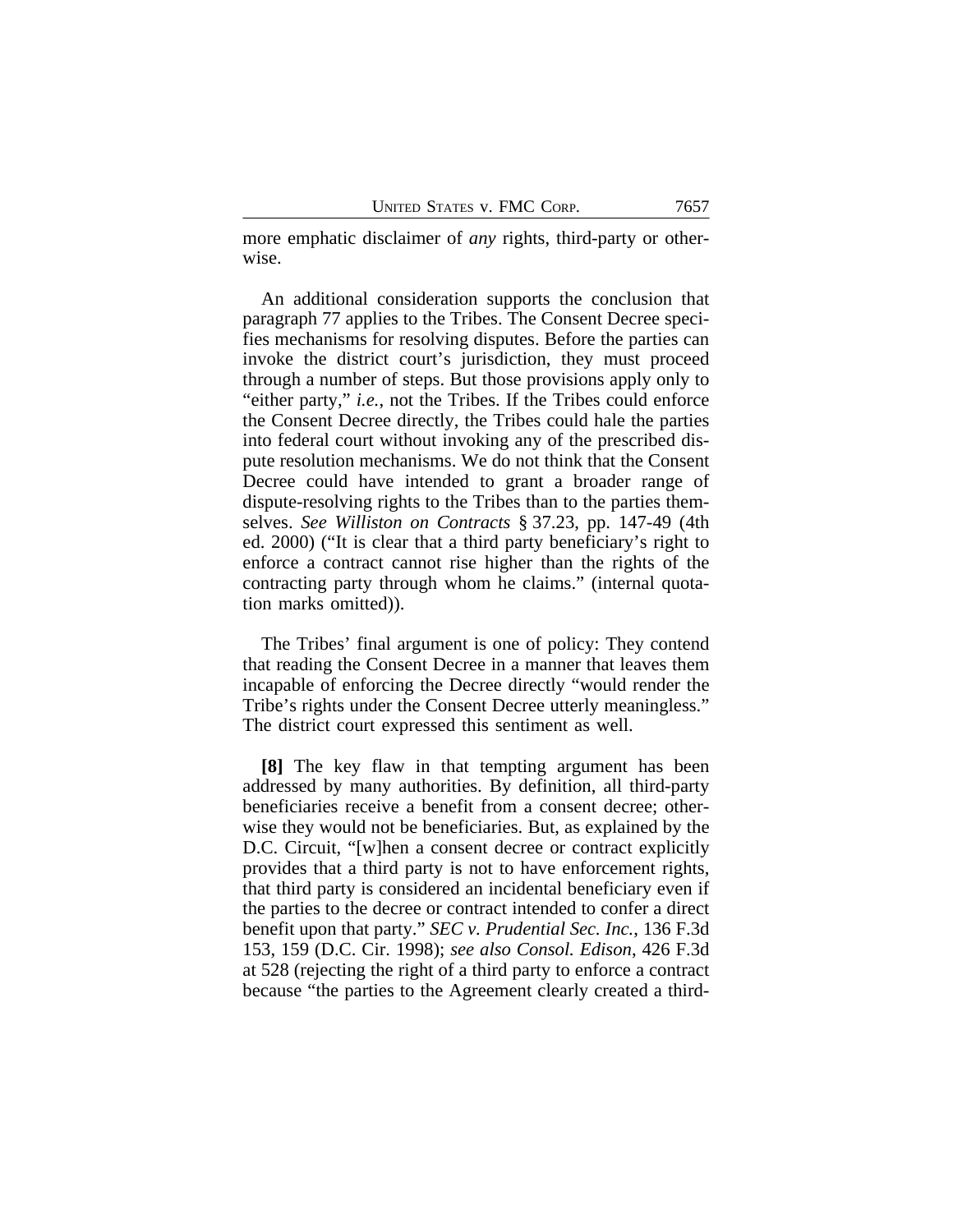more emphatic disclaimer of *any* rights, third-party or otherwise.

An additional consideration supports the conclusion that paragraph 77 applies to the Tribes. The Consent Decree specifies mechanisms for resolving disputes. Before the parties can invoke the district court's jurisdiction, they must proceed through a number of steps. But those provisions apply only to "either party," *i.e.*, not the Tribes. If the Tribes could enforce the Consent Decree directly, the Tribes could hale the parties into federal court without invoking any of the prescribed dispute resolution mechanisms. We do not think that the Consent Decree could have intended to grant a broader range of dispute-resolving rights to the Tribes than to the parties themselves. *See Williston on Contracts* § 37.23, pp. 147-49 (4th ed. 2000) ("It is clear that a third party beneficiary's right to enforce a contract cannot rise higher than the rights of the contracting party through whom he claims." (internal quotation marks omitted)).

The Tribes' final argument is one of policy: They contend that reading the Consent Decree in a manner that leaves them incapable of enforcing the Decree directly "would render the Tribe's rights under the Consent Decree utterly meaningless." The district court expressed this sentiment as well.

**[8]** The key flaw in that tempting argument has been addressed by many authorities. By definition, all third-party beneficiaries receive a benefit from a consent decree; otherwise they would not be beneficiaries. But, as explained by the D.C. Circuit, "[w]hen a consent decree or contract explicitly provides that a third party is not to have enforcement rights, that third party is considered an incidental beneficiary even if the parties to the decree or contract intended to confer a direct benefit upon that party." *SEC v. Prudential Sec. Inc.*, 136 F.3d 153, 159 (D.C. Cir. 1998); *see also Consol. Edison*, 426 F.3d at 528 (rejecting the right of a third party to enforce a contract because "the parties to the Agreement clearly created a third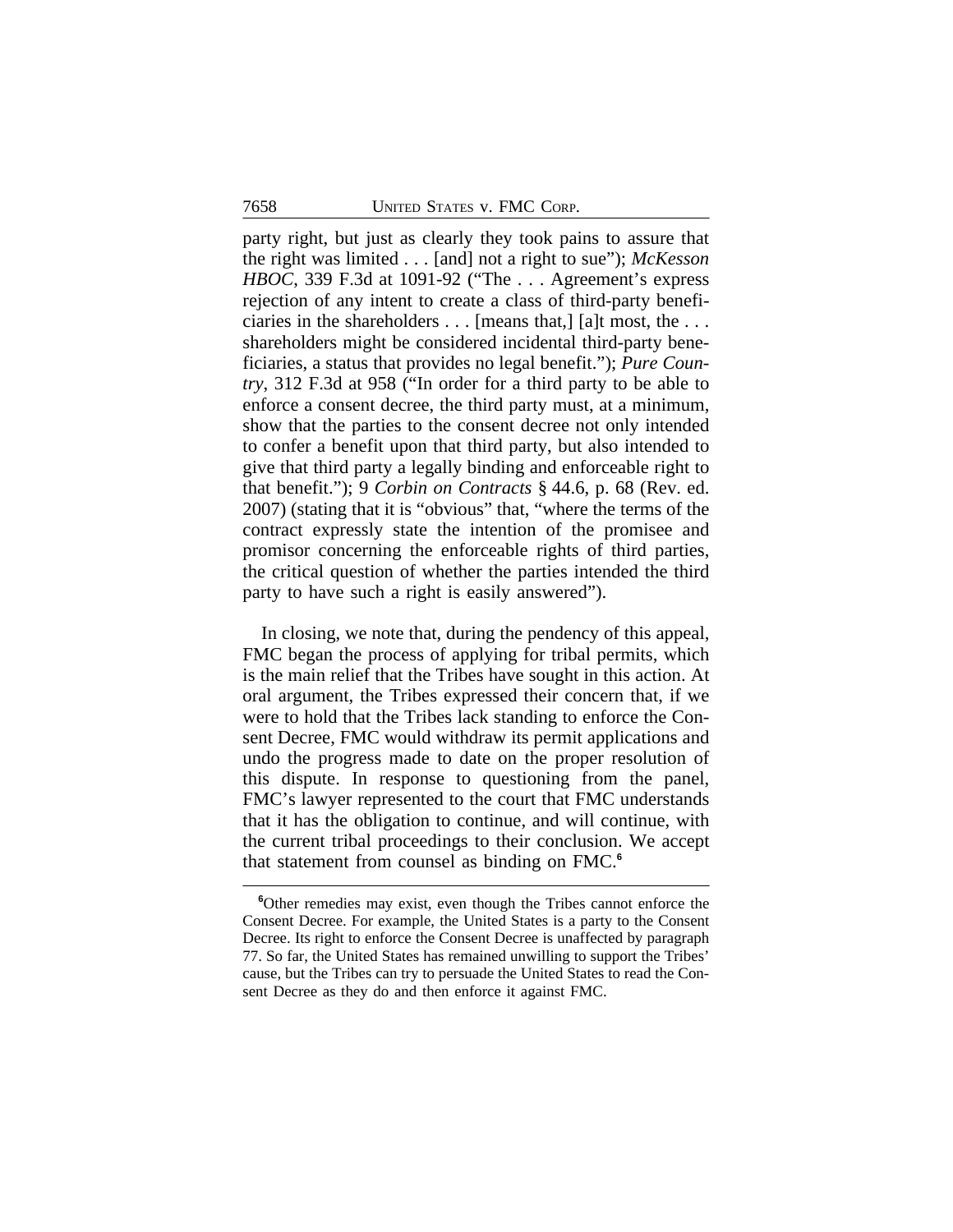party right, but just as clearly they took pains to assure that the right was limited . . . [and] not a right to sue"); *McKesson HBOC*, 339 F.3d at 1091-92 ("The . . . Agreement's express rejection of any intent to create a class of third-party beneficiaries in the shareholders . . . [means that,] [a]t most, the . . . shareholders might be considered incidental third-party beneficiaries, a status that provides no legal benefit."); *Pure Country*, 312 F.3d at 958 ("In order for a third party to be able to enforce a consent decree, the third party must, at a minimum, show that the parties to the consent decree not only intended to confer a benefit upon that third party, but also intended to give that third party a legally binding and enforceable right to that benefit."); 9 *Corbin on Contracts* § 44.6, p. 68 (Rev. ed. 2007) (stating that it is "obvious" that, "where the terms of the contract expressly state the intention of the promisee and promisor concerning the enforceable rights of third parties, the critical question of whether the parties intended the third party to have such a right is easily answered").

In closing, we note that, during the pendency of this appeal, FMC began the process of applying for tribal permits, which is the main relief that the Tribes have sought in this action. At oral argument, the Tribes expressed their concern that, if we were to hold that the Tribes lack standing to enforce the Consent Decree, FMC would withdraw its permit applications and undo the progress made to date on the proper resolution of this dispute. In response to questioning from the panel, FMC's lawyer represented to the court that FMC understands that it has the obligation to continue, and will continue, with the current tribal proceedings to their conclusion. We accept that statement from counsel as binding on FMC.**<sup>6</sup>**

**<sup>6</sup>**Other remedies may exist, even though the Tribes cannot enforce the Consent Decree. For example, the United States is a party to the Consent Decree. Its right to enforce the Consent Decree is unaffected by paragraph 77. So far, the United States has remained unwilling to support the Tribes' cause, but the Tribes can try to persuade the United States to read the Consent Decree as they do and then enforce it against FMC.